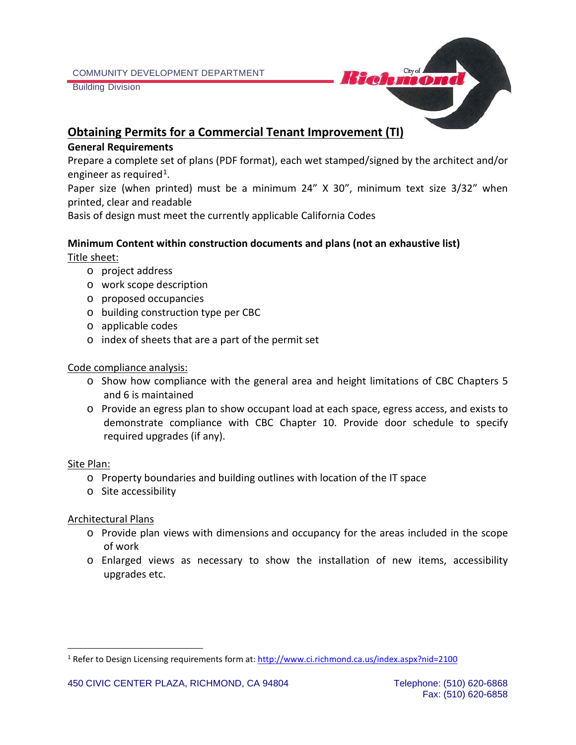Building Division



# **Obtaining Permits for a Commercial Tenant Improvement (TI)**

#### **General Requirements**

Prepare a complete set of plans (PDF format), each wet stamped/signed by the architect and/or engineer as required<sup>1</sup>.

Paper size (when printed) must be a minimum 24" X 30", minimum text size 3/32" when printed, clear and readable

Basis of design must meet the currently applicable California Codes

# **Minimum Content within construction documents and plans (not an exhaustive list)**

Title sheet:

- o project address
- o work scope description
- o proposed occupancies
- o building construction type per CBC
- o applicable codes
- o index of sheets that are a part of the permit set

#### Code compliance analysis:

- o Show how compliance with the general area and height limitations of CBC Chapters 5 and 6 is maintained
- o Provide an egress plan to show occupant load at each space, egress access, and exists to demonstrate compliance with CBC Chapter 10. Provide door schedule to specify required upgrades (if any).

#### Site Plan:

- o Property boundaries and building outlines with location of the IT space
- o Site accessibility

#### Architectural Plans

- o Provide plan views with dimensions and occupancy for the areas included in the scope of work
- o Enlarged views as necessary to show the installation of new items, accessibility upgrades etc.

<span id="page-0-0"></span><sup>1</sup> Refer to Design Licensing requirements form at:<http://www.ci.richmond.ca.us/index.aspx?nid=2100>